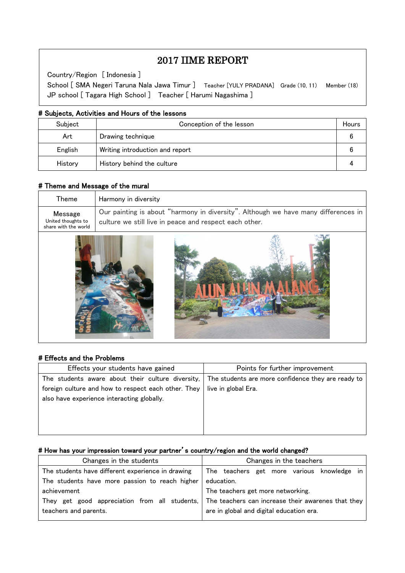# 2017 IIME REPORT

Country/Region [ Indonesia ]

 $\overline{\phantom{a}}$  $\overline{\phantom{a}}$  $\overline{\phantom{a}}$ 

 $\overline{\phantom{a}}$ L

School [ SMA Negeri Taruna Nala Jawa Timur ] Teacher [YULY PRADANA] Grade (10, 11) Member (18) JP school [ Tagara High School ] Teacher [ Harumi Nagashima ]

#### # Subjects, Activities and Hours of the lessons

| Subject | Conception of the lesson        | Hours |
|---------|---------------------------------|-------|
| Art     | Drawing technique               |       |
| English | Writing introduction and report |       |
| History | History behind the culture      |       |

# # Theme and Message of the mural

| Theme                                                 | Harmony in diversity                                                                                                                         |
|-------------------------------------------------------|----------------------------------------------------------------------------------------------------------------------------------------------|
| Message<br>United thoughts to<br>share with the world | Our painting is about "harmony in diversity". Although we have many differences in<br>culture we still live in peace and respect each other. |
|                                                       |                                                                                                                                              |

#### # Effects and the Problems

| Effects your students have gained                                                                                                                                                                                 | Points for further improvement |
|-------------------------------------------------------------------------------------------------------------------------------------------------------------------------------------------------------------------|--------------------------------|
| The students aware about their culture diversity, $\vert$ The students are more confidence they are ready to<br>foreign culture and how to respect each other. They<br>also have experience interacting globally. | live in global Era.            |
|                                                                                                                                                                                                                   |                                |

### # How has your impression toward your partner's country/region and the world changed?

| Changes in the students                           | Changes in the teachers                            |  |  |
|---------------------------------------------------|----------------------------------------------------|--|--|
| The students have different experience in drawing | The teachers get more various knowledge in         |  |  |
| The students have more passion to reach higher    | education.                                         |  |  |
| achievement                                       | The teachers get more networking.                  |  |  |
| They get good appreciation from all students,     | The teachers can increase their awarenes that they |  |  |
| teachers and parents.                             | are in global and digital education era.           |  |  |
|                                                   |                                                    |  |  |